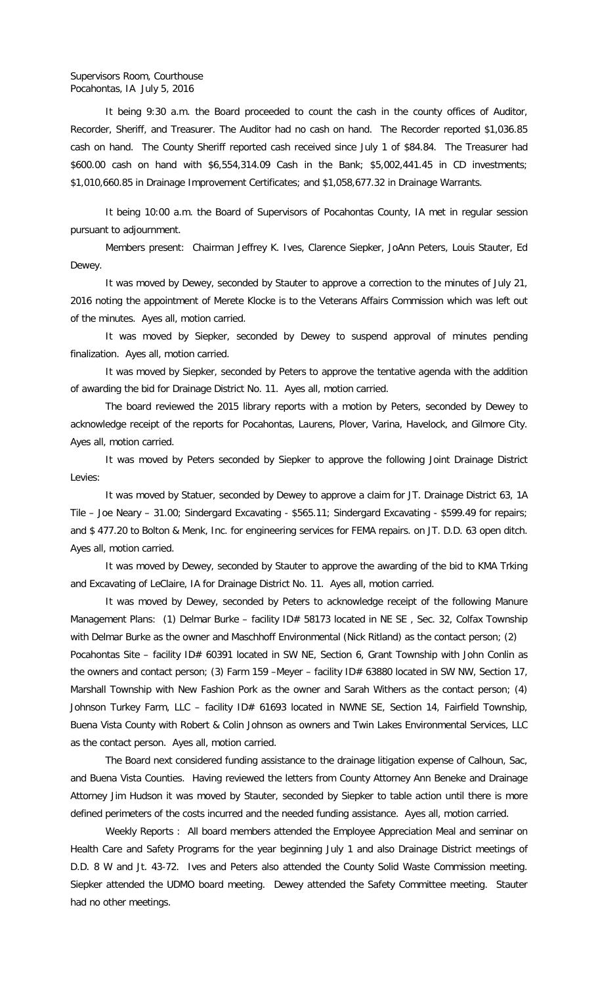## Supervisors Room, Courthouse Pocahontas, IA July 5, 2016

It being 9:30 a.m. the Board proceeded to count the cash in the county offices of Auditor, Recorder, Sheriff, and Treasurer. The Auditor had no cash on hand. The Recorder reported \$1,036.85 cash on hand. The County Sheriff reported cash received since July 1 of \$84.84. The Treasurer had \$600.00 cash on hand with \$6,554,314.09 Cash in the Bank; \$5,002,441.45 in CD investments; \$1,010,660.85 in Drainage Improvement Certificates; and \$1,058,677.32 in Drainage Warrants.

It being 10:00 a.m. the Board of Supervisors of Pocahontas County, IA met in regular session pursuant to adjournment.

Members present: Chairman Jeffrey K. Ives, Clarence Siepker, JoAnn Peters, Louis Stauter, Ed Dewey.

It was moved by Dewey, seconded by Stauter to approve a correction to the minutes of July 21, 2016 noting the appointment of Merete Klocke is to the Veterans Affairs Commission which was left out of the minutes. Ayes all, motion carried.

It was moved by Siepker, seconded by Dewey to suspend approval of minutes pending finalization. Ayes all, motion carried.

It was moved by Siepker, seconded by Peters to approve the tentative agenda with the addition of awarding the bid for Drainage District No. 11. Ayes all, motion carried.

The board reviewed the 2015 library reports with a motion by Peters, seconded by Dewey to acknowledge receipt of the reports for Pocahontas, Laurens, Plover, Varina, Havelock, and Gilmore City. Ayes all, motion carried.

It was moved by Peters seconded by Siepker to approve the following Joint Drainage District Levies:

It was moved by Statuer, seconded by Dewey to approve a claim for JT. Drainage District 63, 1A Tile – Joe Neary – 31.00; Sindergard Excavating - \$565.11; Sindergard Excavating - \$599.49 for repairs; and \$ 477.20 to Bolton & Menk, Inc. for engineering services for FEMA repairs. on JT. D.D. 63 open ditch. Ayes all, motion carried.

It was moved by Dewey, seconded by Stauter to approve the awarding of the bid to KMA Trking and Excavating of LeClaire, IA for Drainage District No. 11. Ayes all, motion carried.

It was moved by Dewey, seconded by Peters to acknowledge receipt of the following Manure Management Plans: (1) Delmar Burke - facility ID# 58173 located in NE SE, Sec. 32, Colfax Township with Delmar Burke as the owner and Maschhoff Environmental (Nick Ritland) as the contact person; (2) Pocahontas Site - facility ID# 60391 located in SW NE, Section 6, Grant Township with John Conlin as the owners and contact person; (3) Farm 159 - Meyer - facility ID# 63880 located in SW NW, Section 17, Marshall Township with New Fashion Pork as the owner and Sarah Withers as the contact person; (4) Johnson Turkey Farm, LLC - facility ID# 61693 located in NWNE SE, Section 14, Fairfield Township, Buena Vista County with Robert & Colin Johnson as owners and Twin Lakes Environmental Services, LLC as the contact person. Ayes all, motion carried.

The Board next considered funding assistance to the drainage litigation expense of Calhoun, Sac, and Buena Vista Counties. Having reviewed the letters from County Attorney Ann Beneke and Drainage Attorney Jim Hudson it was moved by Stauter, seconded by Siepker to table action until there is more defined perimeters of the costs incurred and the needed funding assistance. Ayes all, motion carried.

Weekly Reports : All board members attended the Employee Appreciation Meal and seminar on Health Care and Safety Programs for the year beginning July 1 and also Drainage District meetings of D.D. 8 W and Jt. 43-72. Ives and Peters also attended the County Solid Waste Commission meeting. Siepker attended the UDMO board meeting. Dewey attended the Safety Committee meeting. Stauter had no other meetings.